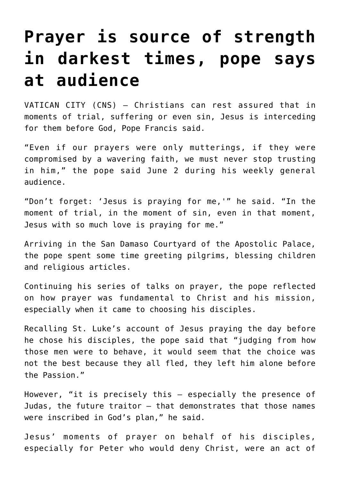## **[Prayer is source of strength](https://www.osvnews.com/2021/06/02/prayer-is-source-of-strength-in-darkest-times-pope-says-at-audience/) [in darkest times, pope says](https://www.osvnews.com/2021/06/02/prayer-is-source-of-strength-in-darkest-times-pope-says-at-audience/) [at audience](https://www.osvnews.com/2021/06/02/prayer-is-source-of-strength-in-darkest-times-pope-says-at-audience/)**

VATICAN CITY (CNS) — Christians can rest assured that in moments of trial, suffering or even sin, Jesus is interceding for them before God, Pope Francis said.

"Even if our prayers were only mutterings, if they were compromised by a wavering faith, we must never stop trusting in him," the pope said June 2 during his weekly general audience.

"Don't forget: 'Jesus is praying for me,'" he said. "In the moment of trial, in the moment of sin, even in that moment, Jesus with so much love is praying for me."

Arriving in the San Damaso Courtyard of the Apostolic Palace, the pope spent some time greeting pilgrims, blessing children and religious articles.

Continuing his series of talks on prayer, the pope reflected on how prayer was fundamental to Christ and his mission, especially when it came to choosing his disciples.

Recalling St. Luke's account of Jesus praying the day before he chose his disciples, the pope said that "judging from how those men were to behave, it would seem that the choice was not the best because they all fled, they left him alone before the Passion."

However, "it is precisely this — especially the presence of Judas, the future traitor — that demonstrates that those names were inscribed in God's plan," he said.

Jesus' moments of prayer on behalf of his disciples, especially for Peter who would deny Christ, were an act of